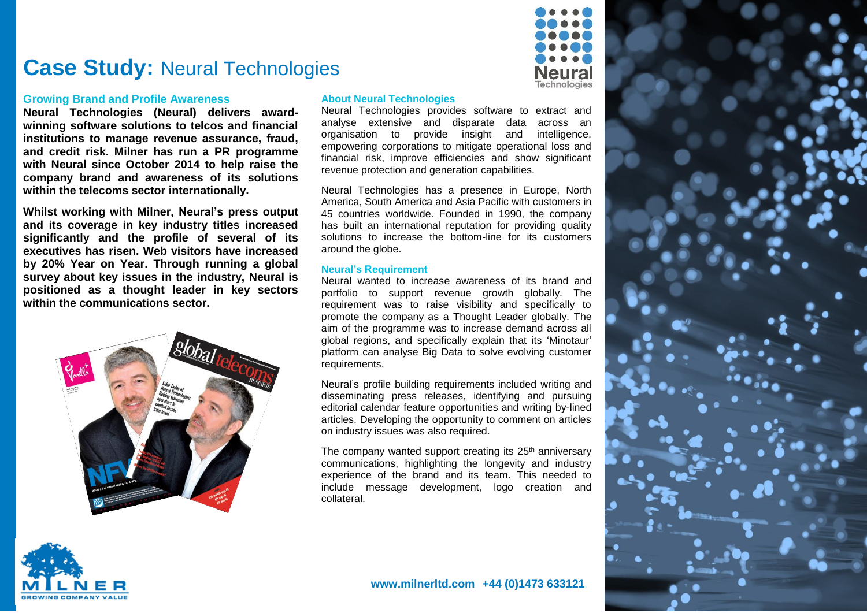

#### **Growing Brand and Profile Awareness**

**Neural Technologies (Neural) delivers awardwinning software solutions to telcos and financial institutions to manage revenue assurance, fraud, and credit risk. Milner has run a PR programme with Neural since October 2014 to help raise the company brand and awareness of its solutions within the telecoms sector internationally.**

**Whilst working with Milner, Neural's press output and its coverage in key industry titles increased significantly and the profile of several of its executives has risen. Web visitors have increased by 20% Year on Year. Through running a global survey about key issues in the industry, Neural is positioned as a thought leader in key sectors within the communications sector.**



#### **About Neural Technologies**

Neural Technologies provides software to extract and analyse extensive and disparate data across an organisation to provide insight and intelligence, empowering corporations to mitigate operational loss and financial risk, improve efficiencies and show significant revenue protection and generation capabilities.

**Technologies** 

Neural Technologies has a presence in Europe, North America, South America and Asia Pacific with customers in 45 countries worldwide. Founded in 1990, the company has built an international reputation for providing quality solutions to increase the bottom-line for its customers around the globe.

#### **Neural's Requirement**

Neural wanted to increase awareness of its brand and portfolio to support revenue growth globally. The requirement was to raise visibility and specifically to promote the company as a Thought Leader globally. The aim of the programme was to increase demand across all global regions, and specifically explain that its 'Minotaur' platform can analyse Big Data to solve evolving customer requirements.

Neural's profile building requirements included writing and disseminating press releases, identifying and pursuing editorial calendar feature opportunities and writing by-lined articles. Developing the opportunity to comment on articles on industry issues was also required.

The company wanted support creating its  $25<sup>th</sup>$  anniversary communications, highlighting the longevity and industry experience of the brand and its team. This needed to include message development, logo creation and collateral.





#### **www.milnerltd.com +44 (0)1473 633121**